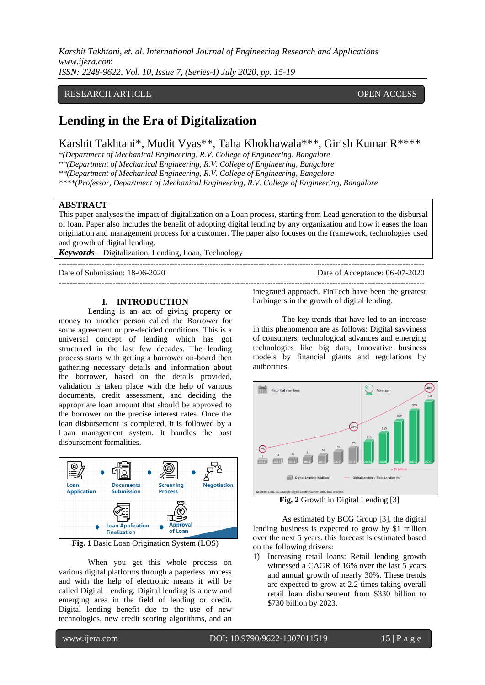*Karshit Takhtani, et. al. International Journal of Engineering Research and Applications www.ijera.com ISSN: 2248-9622, Vol. 10, Issue 7, (Series-I) July 2020, pp. 15-19*

# RESEARCH ARTICLE **OPEN ACCESS**

# **Lending in the Era of Digitalization**

Karshit Takhtani\*, Mudit Vyas\*\*, Taha Khokhawala\*\*\*, Girish Kumar R\*\*\*\*

*\*(Department of Mechanical Engineering, R.V. College of Engineering, Bangalore*

*\*\*(Department of Mechanical Engineering, R.V. College of Engineering, Bangalore*

*\*\*(Department of Mechanical Engineering, R.V. College of Engineering, Bangalore*

*\*\*\*\*(Professor, Department of Mechanical Engineering, R.V. College of Engineering, Bangalore*

### **ABSTRACT**

This paper analyses the impact of digitalization on a Loan process, starting from Lead generation to the disbursal of loan. Paper also includes the benefit of adopting digital lending by any organization and how it eases the loan origination and management process for a customer. The paper also focuses on the framework, technologies used and growth of digital lending.

---------------------------------------------------------------------------------------------------------------------------------------

---------------------------------------------------------------------------------------------------------------------------------------

*Keywords* **–** Digitalization, Lending, Loan, Technology

Date of Submission: 18-06-2020 Date of Acceptance: 06-07-2020

### **I. INTRODUCTION**

Lending is an act of giving property or money to another person called the Borrower for some agreement or pre-decided conditions. This is a universal concept of lending which has got structured in the last few decades. The lending process starts with getting a borrower on-board then gathering necessary details and information about the borrower, based on the details provided, validation is taken place with the help of various documents, credit assessment, and deciding the appropriate loan amount that should be approved to the borrower on the precise interest rates. Once the loan disbursement is completed, it is followed by a Loan management system. It handles the post disbursement formalities.



**Fig. 1** Basic Loan Origination System (LOS)

When you get this whole process on various digital platforms through a paperless process and with the help of electronic means it will be called Digital Lending. Digital lending is a new and emerging area in the field of lending or credit. Digital lending benefit due to the use of new technologies, new credit scoring algorithms, and an

integrated approach. FinTech have been the greatest harbingers in the growth of digital lending.

The key trends that have led to an increase in this phenomenon are as follows: Digital savviness of consumers, technological advances and emerging technologies like big data, Innovative business models by financial giants and regulations by authorities.



**Fig. 2** Growth in Digital Lending [3]

As estimated by BCG Group [3], the digital lending business is expected to grow by \$1 trillion over the next 5 years. this forecast is estimated based on the following drivers:

1) Increasing retail loans: Retail lending growth witnessed a CAGR of 16% over the last 5 years and annual growth of nearly 30%. These trends are expected to grow at 2.2 times taking overall retail loan disbursement from \$330 billion to \$730 billion by 2023.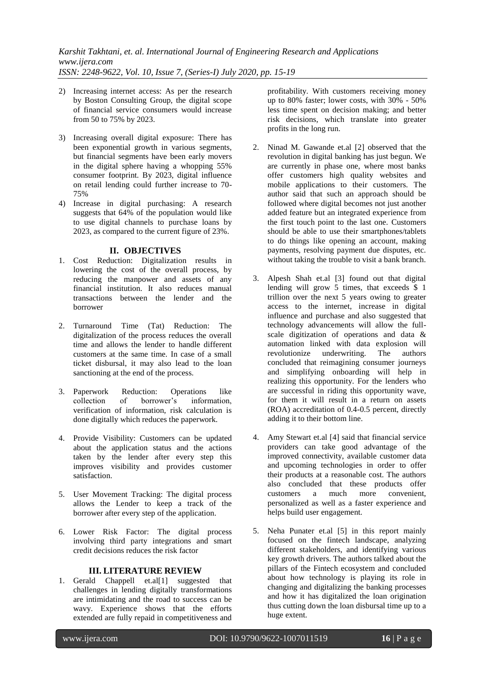- 2) Increasing internet access: As per the research by Boston Consulting Group, the digital scope of financial service consumers would increase from 50 to 75% by 2023.
- 3) Increasing overall digital exposure: There has been exponential growth in various segments, but financial segments have been early movers in the digital sphere having a whopping 55% consumer footprint. By 2023, digital influence on retail lending could further increase to 70- 75%
- 4) Increase in digital purchasing: A research suggests that 64% of the population would like to use digital channels to purchase loans by 2023, as compared to the current figure of 23%.

# **II. OBJECTIVES**

- 1. Cost Reduction: Digitalization results in lowering the cost of the overall process, by reducing the manpower and assets of any financial institution. It also reduces manual transactions between the lender and the borrower
- 2. Turnaround Time (Tat) Reduction: The digitalization of the process reduces the overall time and allows the lender to handle different customers at the same time. In case of a small ticket disbursal, it may also lead to the loan sanctioning at the end of the process.
- 3. Paperwork Reduction: Operations like collection of borrower's information, verification of information, risk calculation is done digitally which reduces the paperwork.
- 4. Provide Visibility: Customers can be updated about the application status and the actions taken by the lender after every step this improves visibility and provides customer satisfaction.
- 5. User Movement Tracking: The digital process allows the Lender to keep a track of the borrower after every step of the application.
- 6. Lower Risk Factor: The digital process involving third party integrations and smart credit decisions reduces the risk factor

## **III. LITERATURE REVIEW**

1. Gerald Chappell et.al[1] suggested that challenges in lending digitally transformations are intimidating and the road to success can be wavy. Experience shows that the efforts extended are fully repaid in competitiveness and

profitability. With customers receiving money up to 80% faster; lower costs, with 30% - 50% less time spent on decision making; and better risk decisions, which translate into greater profits in the long run.

- 2. Ninad M. Gawande et.al [2] observed that the revolution in digital banking has just begun. We are currently in phase one, where most banks offer customers high quality websites and mobile applications to their customers. The author said that such an approach should be followed where digital becomes not just another added feature but an integrated experience from the first touch point to the last one. Customers should be able to use their smartphones/tablets to do things like opening an account, making payments, resolving payment due disputes, etc. without taking the trouble to visit a bank branch.
- 3. Alpesh Shah et.al [3] found out that digital lending will grow 5 times, that exceeds \$ 1 trillion over the next 5 years owing to greater access to the internet, increase in digital influence and purchase and also suggested that technology advancements will allow the fullscale digitization of operations and data & automation linked with data explosion will underwriting. The authors concluded that reimagining consumer journeys and simplifying onboarding will help in realizing this opportunity. For the lenders who are successful in riding this opportunity wave, for them it will result in a return on assets (ROA) accreditation of 0.4-0.5 percent, directly adding it to their bottom line.
- 4. Amy Stewart et.al [4] said that financial service providers can take good advantage of the improved connectivity, available customer data and upcoming technologies in order to offer their products at a reasonable cost. The authors also concluded that these products offer<br>customers a much more convenient, a much more convenient, personalized as well as a faster experience and helps build user engagement.
- 5. Neha Punater et.al [5] in this report mainly focused on the fintech landscape, analyzing different stakeholders, and identifying various key growth drivers. The authors talked about the pillars of the Fintech ecosystem and concluded about how technology is playing its role in changing and digitalizing the banking processes and how it has digitalized the loan origination thus cutting down the loan disbursal time up to a huge extent.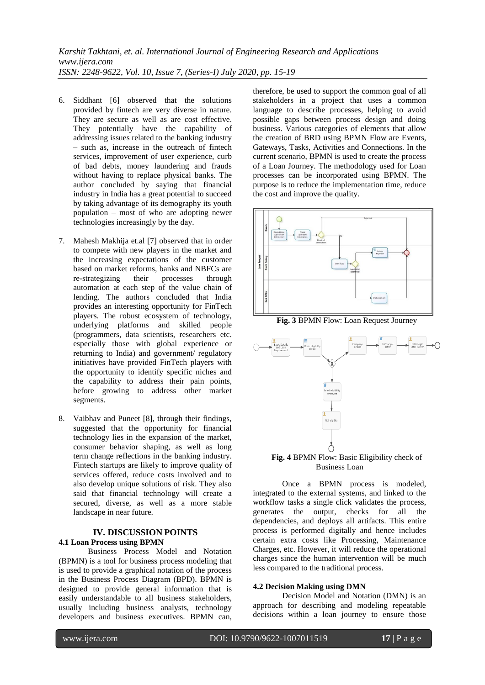- 6. Siddhant [6] observed that the solutions provided by fintech are very diverse in nature. They are secure as well as are cost effective. They potentially have the capability of addressing issues related to the banking industry – such as, increase in the outreach of fintech services, improvement of user experience, curb of bad debts, money laundering and frauds without having to replace physical banks. The author concluded by saying that financial industry in India has a great potential to succeed by taking advantage of its demography its youth population – most of who are adopting newer technologies increasingly by the day.
- 7. Mahesh Makhija et.al [7] observed that in order to compete with new players in the market and the increasing expectations of the customer based on market reforms, banks and NBFCs are re-strategizing their processes through automation at each step of the value chain of lending. The authors concluded that India provides an interesting opportunity for FinTech players. The robust ecosystem of technology, underlying platforms and skilled people (programmers, data scientists, researchers etc. especially those with global experience or returning to India) and government/ regulatory initiatives have provided FinTech players with the opportunity to identify specific niches and the capability to address their pain points, before growing to address other market segments.
- 8. Vaibhav and Puneet [8], through their findings, suggested that the opportunity for financial technology lies in the expansion of the market, consumer behavior shaping, as well as long term change reflections in the banking industry. Fintech startups are likely to improve quality of services offered, reduce costs involved and to also develop unique solutions of risk. They also said that financial technology will create a secured, diverse, as well as a more stable landscape in near future.

# **IV. DISCUSSION POINTS 4.1 Loan Process using BPMN**

Business Process Model and Notation (BPMN) is a tool for business process modeling that is used to provide a graphical notation of the process in the Business Process Diagram (BPD). BPMN is designed to provide general information that is easily understandable to all business stakeholders, usually including business analysts, technology developers and business executives. BPMN can,

therefore, be used to support the common goal of all stakeholders in a project that uses a common language to describe processes, helping to avoid possible gaps between process design and doing business. Various categories of elements that allow the creation of BRD using BPMN Flow are Events, Gateways, Tasks, Activities and Connections. In the current scenario, BPMN is used to create the process of a Loan Journey. The methodology used for Loan processes can be incorporated using BPMN. The purpose is to reduce the implementation time, reduce the cost and improve the quality.



**Fig. 3** BPMN Flow: Loan Request Journey



# Business Loan

Once a BPMN process is modeled, integrated to the external systems, and linked to the workflow tasks a single click validates the process, generates the output, checks for all the dependencies, and deploys all artifacts. This entire process is performed digitally and hence includes certain extra costs like Processing, Maintenance Charges, etc. However, it will reduce the operational charges since the human intervention will be much less compared to the traditional process.

## **4.2 Decision Making using DMN**

Decision Model and Notation (DMN) is an approach for describing and modeling repeatable decisions within a loan journey to ensure those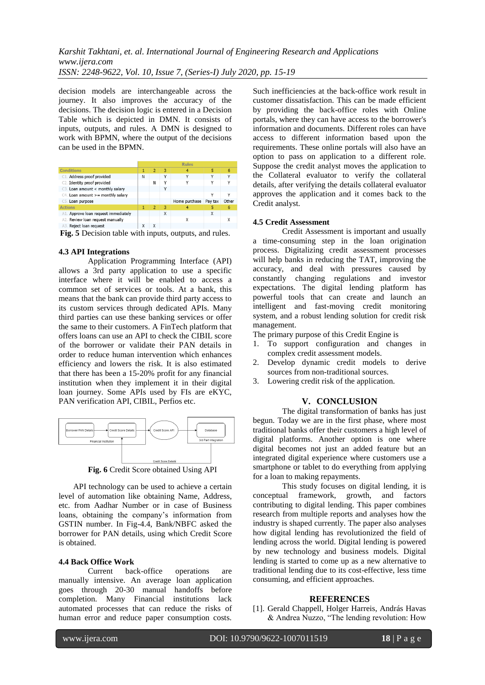decision models are interchangeable across the journey. It also improves the accuracy of the decisions. The decision logic is entered in a Decision Table which is depicted in DMN. It consists of inputs, outputs, and rules. A DMN is designed to work with BPMN, where the output of the decisions can be used in the BPMN.

|                                         |   | <b>Rules</b>   |   |               |              |              |  |
|-----------------------------------------|---|----------------|---|---------------|--------------|--------------|--|
| <b>Conditions</b>                       |   | 2              | 3 |               |              | 6            |  |
| Address proof provided<br>C1.           | N |                | v | Y             | Y            | $\checkmark$ |  |
| C2. Identity proof provided             |   | Ν              | v | v             | ν            | v            |  |
| C3. Loan amount < monthly salary        |   |                | v |               |              |              |  |
| C4. Loan amount >= monthly salary       |   |                |   |               |              |              |  |
| C5. Loan purpose                        |   |                |   | Home purchase | Pay tax      | Other        |  |
| <b>Actions</b>                          |   | $\overline{2}$ | 3 |               |              | 6            |  |
| Approve loan request immediately<br>A1. |   |                | X |               | X            |              |  |
| A2. Review loan request manually        |   |                |   | x             |              |              |  |
| Reject loan request<br>A3.              |   | x              |   |               |              |              |  |
| $\overline{\phantom{a}}$<br>.           |   |                |   |               | $\mathbf{I}$ |              |  |

**Fig. 5** Decision table with inputs, outputs, and rules.

### **4.3 API Integrations**

Application Programming Interface (API) allows a 3rd party application to use a specific interface where it will be enabled to access a common set of services or tools. At a bank, this means that the bank can provide third party access to its custom services through dedicated APIs. Many third parties can use these banking services or offer the same to their customers. A FinTech platform that offers loans can use an API to check the CIBIL score of the borrower or validate their PAN details in order to reduce human intervention which enhances efficiency and lowers the risk. It is also estimated that there has been a 15-20% profit for any financial institution when they implement it in their digital loan journey. Some APIs used by FIs are eKYC, PAN verification API, CIBIL, Perfios etc.



**Fig. 6** Credit Score obtained Using API

API technology can be used to achieve a certain level of automation like obtaining Name, Address, etc. from Aadhar Number or in case of Business loans, obtaining the company's information from GSTIN number. In Fig-4.4, Bank/NBFC asked the borrower for PAN details, using which Credit Score is obtained.

### **4.4 Back Office Work**

Current back-office operations are manually intensive. An average loan application goes through 20-30 manual handoffs before completion. Many Financial institutions lack automated processes that can reduce the risks of human error and reduce paper consumption costs.

Such inefficiencies at the back-office work result in customer dissatisfaction. This can be made efficient by providing the back-office roles with Online portals, where they can have access to the borrower's information and documents. Different roles can have access to different information based upon the requirements. These online portals will also have an option to pass on application to a different role. Suppose the credit analyst moves the application to the Collateral evaluator to verify the collateral details, after verifying the details collateral evaluator approves the application and it comes back to the Credit analyst.

### **4.5 Credit Assessment**

Credit Assessment is important and usually a time-consuming step in the loan origination process. Digitalizing credit assessment processes will help banks in reducing the TAT, improving the accuracy, and deal with pressures caused by constantly changing regulations and investor expectations. The digital lending platform has powerful tools that can create and launch an intelligent and fast-moving credit monitoring system, and a robust lending solution for credit risk management.

The primary purpose of this Credit Engine is

- 1. To support configuration and changes in complex credit assessment models.
- 2. Develop dynamic credit models to derive sources from non-traditional sources.
- 3. Lowering credit risk of the application.

# **V. CONCLUSION**

The digital transformation of banks has just begun. Today we are in the first phase, where most traditional banks offer their customers a high level of digital platforms. Another option is one where digital becomes not just an added feature but an integrated digital experience where customers use a smartphone or tablet to do everything from applying for a loan to making repayments.

This study focuses on digital lending, it is conceptual framework, growth, and factors contributing to digital lending. This paper combines research from multiple reports and analyses how the industry is shaped currently. The paper also analyses how digital lending has revolutionized the field of lending across the world. Digital lending is powered by new technology and business models. Digital lending is started to come up as a new alternative to traditional lending due to its cost-effective, less time consuming, and efficient approaches.

#### **REFERENCES**

[1]. Gerald Chappell, Holger Harreis, András Havas & Andrea Nuzzo, "The lending revolution: How